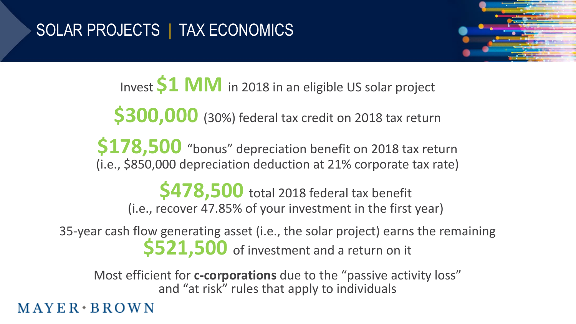

Invest **\$1 MM** in 2018 in an eligible US solar project

**\$300,000** (30%) federal tax credit on 2018 tax return

**\$178,500** "bonus" depreciation benefit on 2018 tax return (i.e., \$850,000 depreciation deduction at 21% corporate tax rate)

**\$478,500** total 2018 federal tax benefit (i.e., recover 47.85% of your investment in the first year)

35-year cash flow generating asset (i.e., the solar project) earns the remaining **\$521,500** of investment and a return on it

Most efficient for **c-corporations** due to the "passive activity loss" and "at risk" rules that apply to individuals

 $MAYER*BROWN$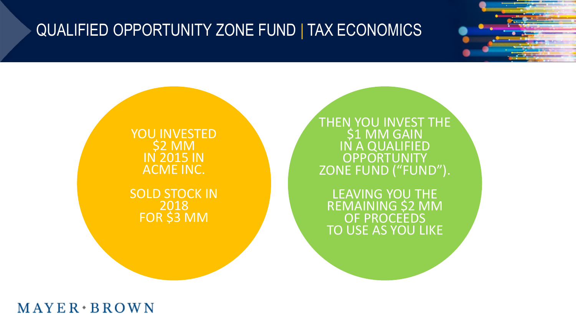#### QUALIFIED OPPORTUNITY ZONE FUND | TAX ECONOMICS

YOU INVESTED \$2 MM IN 2015 IN ACME INC.

SOLD STOCK IN 2018 FOR \$3 MM

THEN YOU INVEST THE **\$1 MM GAIN** IN A QUALIFIED **OPPORTUNITY** ZONE FUND ("FUND").

LEAVING YOU THE REMAINING \$2 MM OF PROCEEDS TO USE AS YOU LIKE

 $MAYER*BROWN$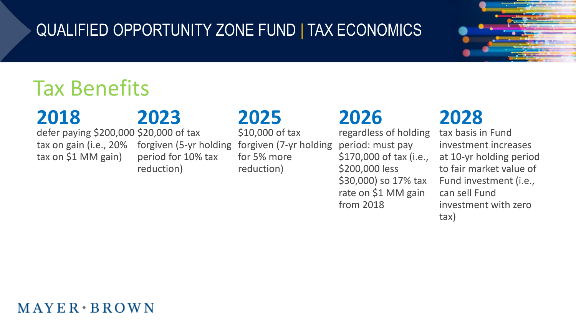#### QUALIFIED OPPORTUNITY ZONE FUND | TAX ECONOMICS



# Tax Benefits

### **2018**

#### defer paying \$200,000 \$20,000 of tax tax on gain (i.e., 20% tax on \$1 MM gain)

# **2023**

forgiven (5-yr holding period for 10% tax reduction)

## **2025**

\$10,000 of tax forgiven (7-yr holding for 5% more reduction)

### **2026**

regardless of holding period: must pay \$170,000 of tax (i.e., \$200,000 less \$30,000) so 17% tax rate on \$1 MM gain from 2018

## **2028**

tax basis in Fund investment increases at 10-yr holding period to fair market value of Fund investment (i.e., can sell Fund investment with zero tax)

#### $MAYER+BROWN$